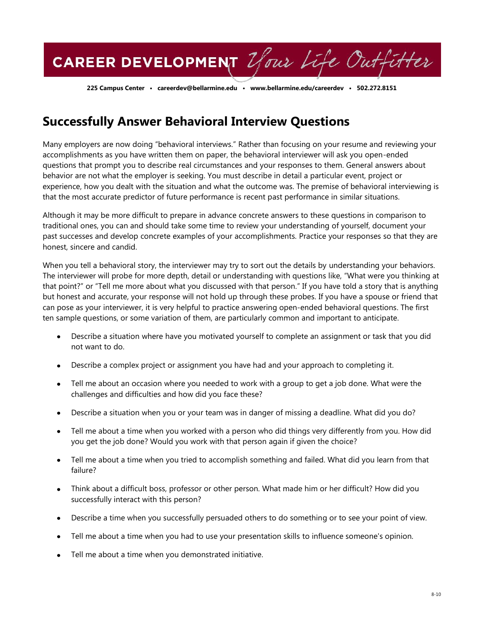CAREER DEVELOPMENT Your Life Outfitter

**225 Campus Center • careerdev@bellarmine.edu • www.bellarmine.edu/careerdev • 502.272.8151**

## **Successfully Answer Behavioral Interview Questions**

Many employers are now doing "behavioral interviews." Rather than focusing on your resume and reviewing your accomplishments as you have written them on paper, the behavioral interviewer will ask you open-ended questions that prompt you to describe real circumstances and your responses to them. General answers about behavior are not what the employer is seeking. You must describe in detail a particular event, project or experience, how you dealt with the situation and what the outcome was. The premise of behavioral interviewing is that the most accurate predictor of future performance is recent past performance in similar situations.

Although it may be more difficult to prepare in advance concrete answers to these questions in comparison to traditional ones, you can and should take some time to review your understanding of yourself, document your past successes and develop concrete examples of your accomplishments. Practice your responses so that they are honest, sincere and candid.

When you tell a behavioral story, the interviewer may try to sort out the details by understanding your behaviors. The interviewer will probe for more depth, detail or understanding with questions like, "What were you thinking at that point?" or "Tell me more about what you discussed with that person." If you have told a story that is anything but honest and accurate, your response will not hold up through these probes. If you have a spouse or friend that can pose as your interviewer, it is very helpful to practice answering open-ended behavioral questions. The first ten sample questions, or some variation of them, are particularly common and important to anticipate.

- Describe a situation where have you motivated yourself to complete an assignment or task that you did not want to do.
- Describe a complex project or assignment you have had and your approach to completing it.
- Tell me about an occasion where you needed to work with a group to get a job done. What were the challenges and difficulties and how did you face these?
- Describe a situation when you or your team was in danger of missing a deadline. What did you do?
- Tell me about a time when you worked with a person who did things very differently from you. How did  $\bullet$ you get the job done? Would you work with that person again if given the choice?
- Tell me about a time when you tried to accomplish something and failed. What did you learn from that failure?
- Think about a difficult boss, professor or other person. What made him or her difficult? How did you  $\bullet$ successfully interact with this person?
- Describe a time when you successfully persuaded others to do something or to see your point of view.
- Tell me about a time when you had to use your presentation skills to influence someone's opinion.
- Tell me about a time when you demonstrated initiative.